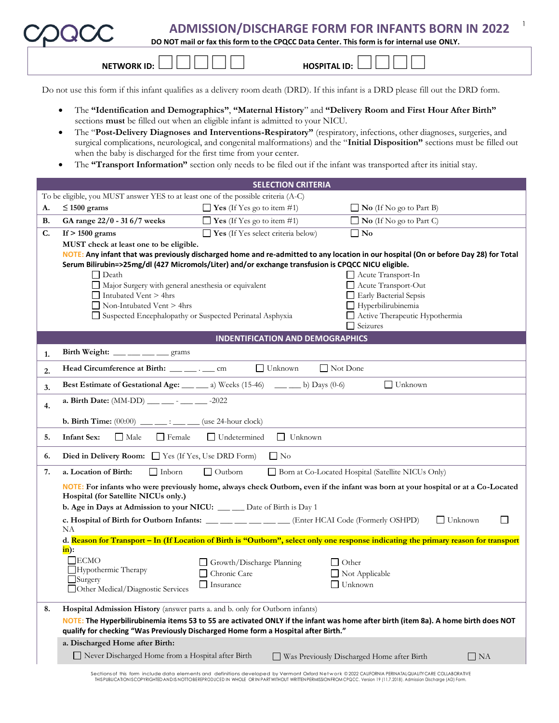|                                                                                                                                                                                                                                                                                                                                                                                                                                                                                                                                                                                                                                                                                                                                                                                                                                                                                                                                                                                                                                                                                                                                                                                                                                                                                                                                                                                                                                                                                                                                                                                                                                                                                                                                                                                                                                                                                                                                                                                                                                                                                                                                                                                                                                                                                                                                                                                                                                                                                                                                                                                                                                                                                                                                                                                                                                                                                                                                                                                                                                                                                                                                                                                                                                                                                                                                                                                                                                            | <b>NETWORK ID:</b>                |                                                                                    |                                                                                                                                    |
|--------------------------------------------------------------------------------------------------------------------------------------------------------------------------------------------------------------------------------------------------------------------------------------------------------------------------------------------------------------------------------------------------------------------------------------------------------------------------------------------------------------------------------------------------------------------------------------------------------------------------------------------------------------------------------------------------------------------------------------------------------------------------------------------------------------------------------------------------------------------------------------------------------------------------------------------------------------------------------------------------------------------------------------------------------------------------------------------------------------------------------------------------------------------------------------------------------------------------------------------------------------------------------------------------------------------------------------------------------------------------------------------------------------------------------------------------------------------------------------------------------------------------------------------------------------------------------------------------------------------------------------------------------------------------------------------------------------------------------------------------------------------------------------------------------------------------------------------------------------------------------------------------------------------------------------------------------------------------------------------------------------------------------------------------------------------------------------------------------------------------------------------------------------------------------------------------------------------------------------------------------------------------------------------------------------------------------------------------------------------------------------------------------------------------------------------------------------------------------------------------------------------------------------------------------------------------------------------------------------------------------------------------------------------------------------------------------------------------------------------------------------------------------------------------------------------------------------------------------------------------------------------------------------------------------------------------------------------------------------------------------------------------------------------------------------------------------------------------------------------------------------------------------------------------------------------------------------------------------------------------------------------------------------------------------------------------------------------------------------------------------------------------------------------------------------------|-----------------------------------|------------------------------------------------------------------------------------|------------------------------------------------------------------------------------------------------------------------------------|
|                                                                                                                                                                                                                                                                                                                                                                                                                                                                                                                                                                                                                                                                                                                                                                                                                                                                                                                                                                                                                                                                                                                                                                                                                                                                                                                                                                                                                                                                                                                                                                                                                                                                                                                                                                                                                                                                                                                                                                                                                                                                                                                                                                                                                                                                                                                                                                                                                                                                                                                                                                                                                                                                                                                                                                                                                                                                                                                                                                                                                                                                                                                                                                                                                                                                                                                                                                                                                                            |                                   |                                                                                    |                                                                                                                                    |
| <b>ADMISSION/DISCHARGE FORM FOR INFANTS BORN IN 2022</b><br>DO NOT mail or fax this form to the CPQCC Data Center. This form is for internal use ONLY.<br><b>HOSPITAL ID:</b><br>Do not use this form if this infant qualifies as a delivery room death (DRD). If this infant is a DRD please fill out the DRD form.<br>The "Identification and Demographics", "Maternal History" and "Delivery Room and First Hour After Birth"<br>$\bullet$<br>sections must be filled out when an eligible infant is admitted to your NICU.<br>The "Post-Delivery Diagnoses and Interventions-Respiratory" (respiratory, infections, other diagnoses, surgeries, and<br>$\bullet$<br>surgical complications, neurological, and congenital malformations) and the "Initial Disposition" sections must be filled out<br>when the baby is discharged for the first time from your center.<br>The "Transport Information" section only needs to be filed out if the infant was transported after its initial stay.<br><b>SELECTION CRITERIA</b><br>To be eligible, you MUST answer YES to at least one of the possible criteria (A-C)<br>$\Box$ Yes (If Yes go to item #1)<br>$\leq 1500$ grams<br>$\Box$ No (If No go to Part B)<br>Α.<br>GA range 22/0 - 31 6/7 weeks<br>$\Box$ Yes (If Yes go to item #1)<br>$\Box$ No (If No go to Part C)<br>В.<br>$\Box$ Yes (If Yes select criteria below)<br>$\square$ No<br>C.<br>If $> 1500$ grams<br>MUST check at least one to be eligible.<br>NOTE: Any infant that was previously discharged home and re-admitted to any location in our hospital (On or before Day 28) for Total<br>Serum Bilirubin=>25mg/dl (427 Micromols/Liter) and/or exchange transfusion is CPQCC NICU eligible.<br>Acute Transport-In<br>$\Box$ Death<br>Major Surgery with general anesthesia or equivalent<br>Acute Transport-Out<br>$\Box$ Intubated Vent > 4hrs<br>Early Bacterial Sepsis<br>Hyperbilirubinemia<br>$\Box$ Non-Intubated Vent > 4hrs<br>Suspected Encephalopathy or Suspected Perinatal Asphyxia<br>Active Therapeutic Hypothermia<br>$\Box$ Seizures<br><b>INDENTIFICATION AND DEMOGRAPHICS</b><br>Birth Weight: ___ __ __ __ grams<br>1.<br>$\Box$ Not Done<br>Head Circumference at Birth: ___ ___ . __ cm<br>$\Box$ Unknown<br>2.<br>Best Estimate of Gestational Age: ___ __ a) Weeks (15-46) __ __ b) Days (0-6)<br>$\Box$ Unknown<br>3.<br>4.<br><b>b. Birth Time:</b> $(00:00)$ : (use 24-hour clock)<br>$\Box$ Undetermined<br><b>Infant Sex:</b><br>$\Box$ Male<br>$\Box$ Female<br>    Unknown<br>5.<br>Died in Delivery Room: $\Box$ Yes (If Yes, Use DRD Form)<br>$\Box$ No<br>6.<br>Born at Co-Located Hospital (Satellite NICUs Only)<br>a. Location of Birth:<br>$\Box$ Inborn<br>$\Box$ Outborn<br>7.<br>NOTE: For infants who were previously home, always check Outborn, even if the infant was born at your hospital or at a Co-Located<br>Hospital (for Satellite NICUs only.)<br>b. Age in Days at Admission to your NICU: ___ __ Date of Birth is Day 1<br>c. Hospital of Birth for Outborn Infants: ___ __ __ __ __ __ Enter HCAI Code (Formerly OSHPD)<br>$\Box$ Unknown<br>$\mathbf{L}$<br>NА<br>d. Reason for Transport – In (If Location of Birth is "Outborn", select only one response indicating the primary reason for transport<br>$\mathbf{in}$ :<br>$\square$ ECMO<br>Growth/Discharge Planning<br>$\Box$ Other<br>Hypothermic Therapy<br>Chronic Care<br>$\Box$ Not Applicable |                                   |                                                                                    |                                                                                                                                    |
|                                                                                                                                                                                                                                                                                                                                                                                                                                                                                                                                                                                                                                                                                                                                                                                                                                                                                                                                                                                                                                                                                                                                                                                                                                                                                                                                                                                                                                                                                                                                                                                                                                                                                                                                                                                                                                                                                                                                                                                                                                                                                                                                                                                                                                                                                                                                                                                                                                                                                                                                                                                                                                                                                                                                                                                                                                                                                                                                                                                                                                                                                                                                                                                                                                                                                                                                                                                                                                            |                                   |                                                                                    |                                                                                                                                    |
|                                                                                                                                                                                                                                                                                                                                                                                                                                                                                                                                                                                                                                                                                                                                                                                                                                                                                                                                                                                                                                                                                                                                                                                                                                                                                                                                                                                                                                                                                                                                                                                                                                                                                                                                                                                                                                                                                                                                                                                                                                                                                                                                                                                                                                                                                                                                                                                                                                                                                                                                                                                                                                                                                                                                                                                                                                                                                                                                                                                                                                                                                                                                                                                                                                                                                                                                                                                                                                            |                                   |                                                                                    |                                                                                                                                    |
|                                                                                                                                                                                                                                                                                                                                                                                                                                                                                                                                                                                                                                                                                                                                                                                                                                                                                                                                                                                                                                                                                                                                                                                                                                                                                                                                                                                                                                                                                                                                                                                                                                                                                                                                                                                                                                                                                                                                                                                                                                                                                                                                                                                                                                                                                                                                                                                                                                                                                                                                                                                                                                                                                                                                                                                                                                                                                                                                                                                                                                                                                                                                                                                                                                                                                                                                                                                                                                            |                                   |                                                                                    |                                                                                                                                    |
|                                                                                                                                                                                                                                                                                                                                                                                                                                                                                                                                                                                                                                                                                                                                                                                                                                                                                                                                                                                                                                                                                                                                                                                                                                                                                                                                                                                                                                                                                                                                                                                                                                                                                                                                                                                                                                                                                                                                                                                                                                                                                                                                                                                                                                                                                                                                                                                                                                                                                                                                                                                                                                                                                                                                                                                                                                                                                                                                                                                                                                                                                                                                                                                                                                                                                                                                                                                                                                            |                                   |                                                                                    |                                                                                                                                    |
|                                                                                                                                                                                                                                                                                                                                                                                                                                                                                                                                                                                                                                                                                                                                                                                                                                                                                                                                                                                                                                                                                                                                                                                                                                                                                                                                                                                                                                                                                                                                                                                                                                                                                                                                                                                                                                                                                                                                                                                                                                                                                                                                                                                                                                                                                                                                                                                                                                                                                                                                                                                                                                                                                                                                                                                                                                                                                                                                                                                                                                                                                                                                                                                                                                                                                                                                                                                                                                            |                                   |                                                                                    |                                                                                                                                    |
|                                                                                                                                                                                                                                                                                                                                                                                                                                                                                                                                                                                                                                                                                                                                                                                                                                                                                                                                                                                                                                                                                                                                                                                                                                                                                                                                                                                                                                                                                                                                                                                                                                                                                                                                                                                                                                                                                                                                                                                                                                                                                                                                                                                                                                                                                                                                                                                                                                                                                                                                                                                                                                                                                                                                                                                                                                                                                                                                                                                                                                                                                                                                                                                                                                                                                                                                                                                                                                            |                                   |                                                                                    |                                                                                                                                    |
|                                                                                                                                                                                                                                                                                                                                                                                                                                                                                                                                                                                                                                                                                                                                                                                                                                                                                                                                                                                                                                                                                                                                                                                                                                                                                                                                                                                                                                                                                                                                                                                                                                                                                                                                                                                                                                                                                                                                                                                                                                                                                                                                                                                                                                                                                                                                                                                                                                                                                                                                                                                                                                                                                                                                                                                                                                                                                                                                                                                                                                                                                                                                                                                                                                                                                                                                                                                                                                            |                                   |                                                                                    |                                                                                                                                    |
|                                                                                                                                                                                                                                                                                                                                                                                                                                                                                                                                                                                                                                                                                                                                                                                                                                                                                                                                                                                                                                                                                                                                                                                                                                                                                                                                                                                                                                                                                                                                                                                                                                                                                                                                                                                                                                                                                                                                                                                                                                                                                                                                                                                                                                                                                                                                                                                                                                                                                                                                                                                                                                                                                                                                                                                                                                                                                                                                                                                                                                                                                                                                                                                                                                                                                                                                                                                                                                            |                                   |                                                                                    |                                                                                                                                    |
|                                                                                                                                                                                                                                                                                                                                                                                                                                                                                                                                                                                                                                                                                                                                                                                                                                                                                                                                                                                                                                                                                                                                                                                                                                                                                                                                                                                                                                                                                                                                                                                                                                                                                                                                                                                                                                                                                                                                                                                                                                                                                                                                                                                                                                                                                                                                                                                                                                                                                                                                                                                                                                                                                                                                                                                                                                                                                                                                                                                                                                                                                                                                                                                                                                                                                                                                                                                                                                            |                                   |                                                                                    |                                                                                                                                    |
|                                                                                                                                                                                                                                                                                                                                                                                                                                                                                                                                                                                                                                                                                                                                                                                                                                                                                                                                                                                                                                                                                                                                                                                                                                                                                                                                                                                                                                                                                                                                                                                                                                                                                                                                                                                                                                                                                                                                                                                                                                                                                                                                                                                                                                                                                                                                                                                                                                                                                                                                                                                                                                                                                                                                                                                                                                                                                                                                                                                                                                                                                                                                                                                                                                                                                                                                                                                                                                            |                                   |                                                                                    |                                                                                                                                    |
|                                                                                                                                                                                                                                                                                                                                                                                                                                                                                                                                                                                                                                                                                                                                                                                                                                                                                                                                                                                                                                                                                                                                                                                                                                                                                                                                                                                                                                                                                                                                                                                                                                                                                                                                                                                                                                                                                                                                                                                                                                                                                                                                                                                                                                                                                                                                                                                                                                                                                                                                                                                                                                                                                                                                                                                                                                                                                                                                                                                                                                                                                                                                                                                                                                                                                                                                                                                                                                            |                                   |                                                                                    |                                                                                                                                    |
|                                                                                                                                                                                                                                                                                                                                                                                                                                                                                                                                                                                                                                                                                                                                                                                                                                                                                                                                                                                                                                                                                                                                                                                                                                                                                                                                                                                                                                                                                                                                                                                                                                                                                                                                                                                                                                                                                                                                                                                                                                                                                                                                                                                                                                                                                                                                                                                                                                                                                                                                                                                                                                                                                                                                                                                                                                                                                                                                                                                                                                                                                                                                                                                                                                                                                                                                                                                                                                            |                                   |                                                                                    |                                                                                                                                    |
|                                                                                                                                                                                                                                                                                                                                                                                                                                                                                                                                                                                                                                                                                                                                                                                                                                                                                                                                                                                                                                                                                                                                                                                                                                                                                                                                                                                                                                                                                                                                                                                                                                                                                                                                                                                                                                                                                                                                                                                                                                                                                                                                                                                                                                                                                                                                                                                                                                                                                                                                                                                                                                                                                                                                                                                                                                                                                                                                                                                                                                                                                                                                                                                                                                                                                                                                                                                                                                            |                                   |                                                                                    |                                                                                                                                    |
|                                                                                                                                                                                                                                                                                                                                                                                                                                                                                                                                                                                                                                                                                                                                                                                                                                                                                                                                                                                                                                                                                                                                                                                                                                                                                                                                                                                                                                                                                                                                                                                                                                                                                                                                                                                                                                                                                                                                                                                                                                                                                                                                                                                                                                                                                                                                                                                                                                                                                                                                                                                                                                                                                                                                                                                                                                                                                                                                                                                                                                                                                                                                                                                                                                                                                                                                                                                                                                            |                                   |                                                                                    |                                                                                                                                    |
|                                                                                                                                                                                                                                                                                                                                                                                                                                                                                                                                                                                                                                                                                                                                                                                                                                                                                                                                                                                                                                                                                                                                                                                                                                                                                                                                                                                                                                                                                                                                                                                                                                                                                                                                                                                                                                                                                                                                                                                                                                                                                                                                                                                                                                                                                                                                                                                                                                                                                                                                                                                                                                                                                                                                                                                                                                                                                                                                                                                                                                                                                                                                                                                                                                                                                                                                                                                                                                            |                                   |                                                                                    |                                                                                                                                    |
|                                                                                                                                                                                                                                                                                                                                                                                                                                                                                                                                                                                                                                                                                                                                                                                                                                                                                                                                                                                                                                                                                                                                                                                                                                                                                                                                                                                                                                                                                                                                                                                                                                                                                                                                                                                                                                                                                                                                                                                                                                                                                                                                                                                                                                                                                                                                                                                                                                                                                                                                                                                                                                                                                                                                                                                                                                                                                                                                                                                                                                                                                                                                                                                                                                                                                                                                                                                                                                            |                                   |                                                                                    |                                                                                                                                    |
|                                                                                                                                                                                                                                                                                                                                                                                                                                                                                                                                                                                                                                                                                                                                                                                                                                                                                                                                                                                                                                                                                                                                                                                                                                                                                                                                                                                                                                                                                                                                                                                                                                                                                                                                                                                                                                                                                                                                                                                                                                                                                                                                                                                                                                                                                                                                                                                                                                                                                                                                                                                                                                                                                                                                                                                                                                                                                                                                                                                                                                                                                                                                                                                                                                                                                                                                                                                                                                            |                                   |                                                                                    |                                                                                                                                    |
|                                                                                                                                                                                                                                                                                                                                                                                                                                                                                                                                                                                                                                                                                                                                                                                                                                                                                                                                                                                                                                                                                                                                                                                                                                                                                                                                                                                                                                                                                                                                                                                                                                                                                                                                                                                                                                                                                                                                                                                                                                                                                                                                                                                                                                                                                                                                                                                                                                                                                                                                                                                                                                                                                                                                                                                                                                                                                                                                                                                                                                                                                                                                                                                                                                                                                                                                                                                                                                            |                                   |                                                                                    |                                                                                                                                    |
|                                                                                                                                                                                                                                                                                                                                                                                                                                                                                                                                                                                                                                                                                                                                                                                                                                                                                                                                                                                                                                                                                                                                                                                                                                                                                                                                                                                                                                                                                                                                                                                                                                                                                                                                                                                                                                                                                                                                                                                                                                                                                                                                                                                                                                                                                                                                                                                                                                                                                                                                                                                                                                                                                                                                                                                                                                                                                                                                                                                                                                                                                                                                                                                                                                                                                                                                                                                                                                            |                                   |                                                                                    |                                                                                                                                    |
|                                                                                                                                                                                                                                                                                                                                                                                                                                                                                                                                                                                                                                                                                                                                                                                                                                                                                                                                                                                                                                                                                                                                                                                                                                                                                                                                                                                                                                                                                                                                                                                                                                                                                                                                                                                                                                                                                                                                                                                                                                                                                                                                                                                                                                                                                                                                                                                                                                                                                                                                                                                                                                                                                                                                                                                                                                                                                                                                                                                                                                                                                                                                                                                                                                                                                                                                                                                                                                            |                                   |                                                                                    |                                                                                                                                    |
|                                                                                                                                                                                                                                                                                                                                                                                                                                                                                                                                                                                                                                                                                                                                                                                                                                                                                                                                                                                                                                                                                                                                                                                                                                                                                                                                                                                                                                                                                                                                                                                                                                                                                                                                                                                                                                                                                                                                                                                                                                                                                                                                                                                                                                                                                                                                                                                                                                                                                                                                                                                                                                                                                                                                                                                                                                                                                                                                                                                                                                                                                                                                                                                                                                                                                                                                                                                                                                            |                                   |                                                                                    |                                                                                                                                    |
|                                                                                                                                                                                                                                                                                                                                                                                                                                                                                                                                                                                                                                                                                                                                                                                                                                                                                                                                                                                                                                                                                                                                                                                                                                                                                                                                                                                                                                                                                                                                                                                                                                                                                                                                                                                                                                                                                                                                                                                                                                                                                                                                                                                                                                                                                                                                                                                                                                                                                                                                                                                                                                                                                                                                                                                                                                                                                                                                                                                                                                                                                                                                                                                                                                                                                                                                                                                                                                            |                                   |                                                                                    |                                                                                                                                    |
|                                                                                                                                                                                                                                                                                                                                                                                                                                                                                                                                                                                                                                                                                                                                                                                                                                                                                                                                                                                                                                                                                                                                                                                                                                                                                                                                                                                                                                                                                                                                                                                                                                                                                                                                                                                                                                                                                                                                                                                                                                                                                                                                                                                                                                                                                                                                                                                                                                                                                                                                                                                                                                                                                                                                                                                                                                                                                                                                                                                                                                                                                                                                                                                                                                                                                                                                                                                                                                            | $\Box$ Surgery                    | Insurance                                                                          | Unknown                                                                                                                            |
|                                                                                                                                                                                                                                                                                                                                                                                                                                                                                                                                                                                                                                                                                                                                                                                                                                                                                                                                                                                                                                                                                                                                                                                                                                                                                                                                                                                                                                                                                                                                                                                                                                                                                                                                                                                                                                                                                                                                                                                                                                                                                                                                                                                                                                                                                                                                                                                                                                                                                                                                                                                                                                                                                                                                                                                                                                                                                                                                                                                                                                                                                                                                                                                                                                                                                                                                                                                                                                            | Other Medical/Diagnostic Services |                                                                                    |                                                                                                                                    |
| 8.                                                                                                                                                                                                                                                                                                                                                                                                                                                                                                                                                                                                                                                                                                                                                                                                                                                                                                                                                                                                                                                                                                                                                                                                                                                                                                                                                                                                                                                                                                                                                                                                                                                                                                                                                                                                                                                                                                                                                                                                                                                                                                                                                                                                                                                                                                                                                                                                                                                                                                                                                                                                                                                                                                                                                                                                                                                                                                                                                                                                                                                                                                                                                                                                                                                                                                                                                                                                                                         |                                   | Hospital Admission History (answer parts a. and b. only for Outborn infants)       |                                                                                                                                    |
|                                                                                                                                                                                                                                                                                                                                                                                                                                                                                                                                                                                                                                                                                                                                                                                                                                                                                                                                                                                                                                                                                                                                                                                                                                                                                                                                                                                                                                                                                                                                                                                                                                                                                                                                                                                                                                                                                                                                                                                                                                                                                                                                                                                                                                                                                                                                                                                                                                                                                                                                                                                                                                                                                                                                                                                                                                                                                                                                                                                                                                                                                                                                                                                                                                                                                                                                                                                                                                            | a. Discharged Home after Birth:   | qualify for checking "Was Previously Discharged Home form a Hospital after Birth." | NOTE: The Hyperbilirubinemia items 53 to 55 are activated ONLY if the infant was home after birth (item 8a). A home birth does NOT |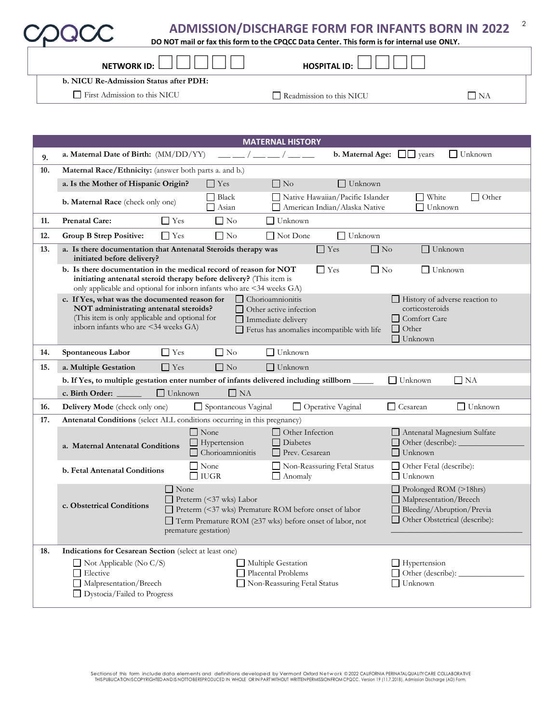| <b>ADMISSION/DISCHARGE FORM FOR INFANTS BORN IN 2022</b> |  |  |  |
|----------------------------------------------------------|--|--|--|
|                                                          |  |  |  |

**DO NOT mail or fax this form to the CPQCC Data Center. This form is for internal use ONLY.**

| <b>NETWORK ID:</b>                     | <b>HOSPITAL ID:</b>      |    |  |
|----------------------------------------|--------------------------|----|--|
| b. NICU Re-Admission Status after PDH: |                          |    |  |
| First Admission to this NICU           | Readmission to this NICU | NA |  |

|     | <b>MATERNAL HISTORY</b>                                                                                                                                                                                                                                                                                                                                      |                                                                                                                  |  |  |  |  |  |
|-----|--------------------------------------------------------------------------------------------------------------------------------------------------------------------------------------------------------------------------------------------------------------------------------------------------------------------------------------------------------------|------------------------------------------------------------------------------------------------------------------|--|--|--|--|--|
| 9.  | a. Maternal Date of Birth: (MM/DD/YY)<br>$\frac{1}{2}$ $\frac{1}{2}$ $\frac{1}{2}$ $\frac{1}{2}$ $\frac{1}{2}$ $\frac{1}{2}$ $\frac{1}{2}$ $\frac{1}{2}$ $\frac{1}{2}$ $\frac{1}{2}$ $\frac{1}{2}$ $\frac{1}{2}$ $\frac{1}{2}$ $\frac{1}{2}$ $\frac{1}{2}$ $\frac{1}{2}$ $\frac{1}{2}$ $\frac{1}{2}$ $\frac{1}{2}$ $\frac{1}{2}$ $\frac{1}{2}$ $\frac{1}{2}$ | <b>b.</b> Maternal Age: $\Box$ years<br>$\Box$ Unknown                                                           |  |  |  |  |  |
| 10. | Maternal Race/Ethnicity: (answer both parts a. and b.)                                                                                                                                                                                                                                                                                                       |                                                                                                                  |  |  |  |  |  |
|     | a. Is the Mother of Hispanic Origin?<br>$\Box$ Yes<br>$\Box$ No<br>$\Box$ Unknown                                                                                                                                                                                                                                                                            |                                                                                                                  |  |  |  |  |  |
|     | Black<br>Native Hawaiian/Pacific Islander<br><b>b. Maternal Race</b> (check only one)<br>American Indian/Alaska Native<br>Asian                                                                                                                                                                                                                              | $\Box$ White<br>$\Box$ Other<br>Unknown                                                                          |  |  |  |  |  |
| 11. | $\Box$ No<br>$\Box$ Unknown<br><b>Prenatal Care:</b><br>$\Box$ Yes                                                                                                                                                                                                                                                                                           |                                                                                                                  |  |  |  |  |  |
| 12. | $\Box$ No<br><b>Group B Strep Positive:</b><br>$\Box$ Yes<br>$\Box$ Not Done<br>$\Box$ Unknown                                                                                                                                                                                                                                                               |                                                                                                                  |  |  |  |  |  |
| 13. | a. Is there documentation that Antenatal Steroids therapy was<br>$\Box$ Yes<br>initiated before delivery?                                                                                                                                                                                                                                                    | $\Box$ No<br>$\Box$ Unknown                                                                                      |  |  |  |  |  |
|     | b. Is there documentation in the medical record of reason for NOT<br>$\Gamma$ Yes<br>initiating antenatal steroid therapy before delivery? (This item is<br>only applicable and optional for inborn infants who are <34 weeks GA)                                                                                                                            | $\Box$ No<br>$\Box$ Unknown                                                                                      |  |  |  |  |  |
|     | c. If Yes, what was the documented reason for<br>  Chorioamnionitis<br>NOT administrating antenatal steroids?<br>Other active infection<br>(This item is only applicable and optional for<br>Immediate delivery<br>inborn infants who are <34 weeks GA)<br>Fetus has anomalies incompatible with life                                                        | History of adverse reaction to<br>corticosteroids<br>□ Comfort Care<br>$\Box$ Other<br>$\Box$ Unknown            |  |  |  |  |  |
| 14. | $\Box$ No<br>$\Box$ Yes<br>Unknown<br>Spontaneous Labor                                                                                                                                                                                                                                                                                                      |                                                                                                                  |  |  |  |  |  |
| 15. | $\Box$ No<br>$\Box$ Unknown<br>$\Box$ Yes<br>a. Multiple Gestation                                                                                                                                                                                                                                                                                           |                                                                                                                  |  |  |  |  |  |
|     | b. If Yes, to multiple gestation enter number of infants delivered including stillborn ______                                                                                                                                                                                                                                                                | $\Box$ NA<br>$\Box$ Unknown                                                                                      |  |  |  |  |  |
|     | c. Birth Order: _____<br>$\Box$ Unknown<br>$\Box$ NA                                                                                                                                                                                                                                                                                                         |                                                                                                                  |  |  |  |  |  |
| 16. | Spontaneous Vaginal<br>Delivery Mode (check only one)<br>Operative Vaginal                                                                                                                                                                                                                                                                                   | $\Box$ Cesarean<br>$\Box$ Unknown                                                                                |  |  |  |  |  |
| 17. | Antenatal Conditions (select ALL conditions occurring in this pregnancy)                                                                                                                                                                                                                                                                                     |                                                                                                                  |  |  |  |  |  |
|     | $\Box$ None<br>$\Box$ Other Infection<br>$\Box$ Hypertension<br>$\Box$ Diabetes<br>a. Maternal Antenatal Conditions<br>$\Box$ Chorioamnionitis<br>Prev. Cesarean                                                                                                                                                                                             | Antenatal Magnesium Sulfate<br>□ Other (describe): _____<br>$\Box$ Unknown                                       |  |  |  |  |  |
|     | $\Box$ None<br>Non-Reassuring Fetal Status<br>b. Fetal Antenatal Conditions<br>$\Box$ IUGR<br>$\Box$ Anomaly                                                                                                                                                                                                                                                 | Other Fetal (describe):<br>$\Box$ Unknown                                                                        |  |  |  |  |  |
|     | $\Box$ None<br>$\Box$ Preterm (<37 wks) Labor<br>c. Obstetrical Conditions<br>Preterm (<37 wks) Premature ROM before onset of labor<br>$\Box$ Term Premature ROM ( $\geq$ 37 wks) before onset of labor, not<br>premature gestation)                                                                                                                         | Prolonged ROM (>18hrs)<br>Malpresentation/Breech<br>Bleeding/Abruption/Previa<br>□ Other Obstetrical (describe): |  |  |  |  |  |
| 18. | Indications for Cesarean Section (select at least one)                                                                                                                                                                                                                                                                                                       |                                                                                                                  |  |  |  |  |  |
|     | $\Box$ Not Applicable (No C/S)<br>Multiple Gestation                                                                                                                                                                                                                                                                                                         | $\Box$ Hypertension                                                                                              |  |  |  |  |  |
|     | $\Box$ Elective<br>Placental Problems<br>Malpresentation/Breech<br>Non-Reassuring Fetal Status<br>□ Dystocia/Failed to Progress                                                                                                                                                                                                                              | $\Box$ Unknown                                                                                                   |  |  |  |  |  |
|     |                                                                                                                                                                                                                                                                                                                                                              |                                                                                                                  |  |  |  |  |  |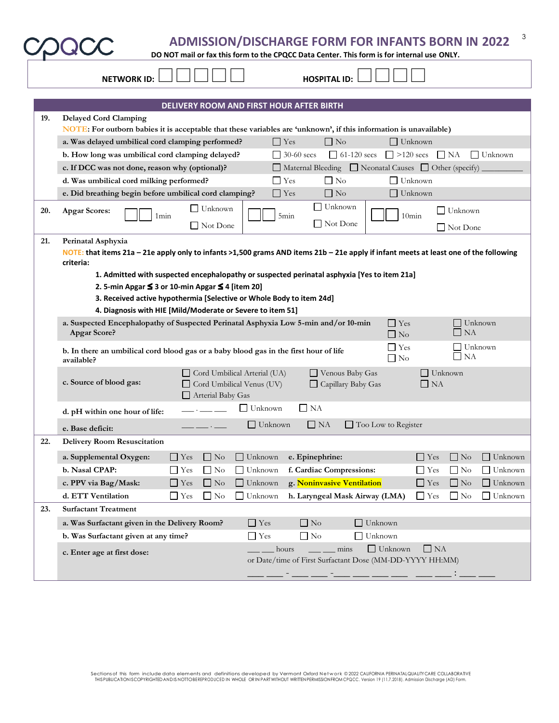|     | 3<br><b>ADMISSION/DISCHARGE FORM FOR INFANTS BORN IN 2022</b><br>DO NOT mail or fax this form to the CPQCC Data Center. This form is for internal use ONLY.                        |
|-----|------------------------------------------------------------------------------------------------------------------------------------------------------------------------------------|
|     | <b>HOSPITAL ID:</b><br><b>NETWORK ID:</b>                                                                                                                                          |
|     |                                                                                                                                                                                    |
|     | DELIVERY ROOM AND FIRST HOUR AFTER BIRTH                                                                                                                                           |
| 19. | <b>Delayed Cord Clamping</b>                                                                                                                                                       |
|     | NOTE: For outborn babies it is acceptable that these variables are 'unknown', if this information is unavailable)                                                                  |
|     | $\Box$ No<br>a. Was delayed umbilical cord clamping performed?<br>$\Box$ Yes<br>$\Box$ Unknown                                                                                     |
|     | $\Box$ 30-60 secs<br>$\Box$ 61-120 secs<br>$\Box$ >120 secs $\Box$ NA<br>b. How long was umbilical cord clamping delayed?<br>$\Box$ Unknown                                        |
|     | □ Maternal Bleeding □ Neonatal Causes □ Other (specify)<br>c. If DCC was not done, reason why (optional)?                                                                          |
|     | $\Box$ Yes<br>$\Box$ No<br>$\Box$ Unknown<br>d. Was umbilical cord milking performed?                                                                                              |
|     | $\Box$ Yes<br>$\Box$ No<br>$\Box$ Unknown<br>e. Did breathing begin before umbilical cord clamping?                                                                                |
| 20. | $\Box$ Unknown<br>Unknown<br>$\Box$ Unknown<br><b>Apgar Scores:</b>                                                                                                                |
|     | $10$ min<br>1 <sub>min</sub><br>5min<br>$\Box$ Not Done<br>Not Done                                                                                                                |
|     | $\Box$ Not Done                                                                                                                                                                    |
| 21. | Perinatal Asphyxia                                                                                                                                                                 |
|     | NOTE: that items 21a - 21e apply only to infants >1,500 grams AND items 21b - 21e apply if infant meets at least one of the following<br>criteria:                                 |
|     | 1. Admitted with suspected encephalopathy or suspected perinatal asphyxia [Yes to item 21a]                                                                                        |
|     | 2. 5-min Apgar ≤ 3 or 10-min Apgar ≤ 4 [item 20]                                                                                                                                   |
|     | 3. Received active hypothermia [Selective or Whole Body to item 24d]                                                                                                               |
|     | 4. Diagnosis with HIE [Mild/Moderate or Severe to item 51]                                                                                                                         |
|     | $\Box$ Yes<br>a. Suspected Encephalopathy of Suspected Perinatal Asphyxia Low 5-min and/or 10-min<br>Unknown<br>NA<br><b>Apgar Score?</b><br>$\Box$ No                             |
|     | $\Box$ Yes<br>Unknown<br>b. In there an umbilical cord blood gas or a baby blood gas in the first hour of life<br>$\Box$ NA<br>$\Box$ No<br>available?                             |
|     | Cord Umbilical Arterial (UA)<br>Venous Baby Gas<br>$\vert$ Unknown<br>c. Source of blood gas:<br>Cord Umbilical Venus (UV)<br>Capillary Baby Gas<br>$\Box$ NA<br>Arterial Baby Gas |
|     | $\Box$ Unknown<br>$\Box$ NA<br>d. pH within one hour of life:                                                                                                                      |
|     | $\Box$ Unknown<br>Too Low to Register<br>$\Box$ NA<br>e. Base deficit:                                                                                                             |
| 22. | <b>Delivery Room Resuscitation</b>                                                                                                                                                 |
|     | $\Box$ No<br>$\Box$ No<br>a. Supplemental Oxygen:<br>$\Box$ Yes<br>$\Box$ Unknown<br>e. Epinephrine:<br>$\Box$ Yes<br>$\Box$ Unknown                                               |
|     | $\Box$ No<br>f. Cardiac Compressions:<br>$\Box$ No<br>b. Nasal CPAP:<br>$\Box$ Yes<br>Unknown<br>$\Box$ Yes<br>$\Box$ Unknown<br>ΙI                                                |
|     | $\Box$ No<br>g. Noninvasive Ventilation<br>$\Box$ Yes<br>Unknown<br>$\Box$ Yes<br>$\Box$ No<br>$\Box$ Unknown<br>c. PPV via Bag/Mask:<br>$\mathsf{L}$                              |
|     | d. ETT Ventilation<br>$\Box$ No<br>$\Box$ Unknown<br>h. Laryngeal Mask Airway (LMA)<br>$\Box$ No<br>$\Box$ Unknown                                                                 |
| 23. | $\Box$ Yes<br>$\Box$ Yes<br><b>Surfactant Treatment</b>                                                                                                                            |
|     |                                                                                                                                                                                    |
|     | $\Box$ Yes<br>$\Box$ No<br>$\Box$ Unknown<br>a. Was Surfactant given in the Delivery Room?                                                                                         |
|     | $\Box$ Yes<br>$\Box$ No<br>Unknown<br>b. Was Surfactant given at any time?                                                                                                         |
|     | mins<br>$\Box$ Unknown<br>$\Box$ NA<br>hours<br>c. Enter age at first dose:<br>or Date/time of First Surfactant Dose (MM-DD-YYYY HH:MM)                                            |
|     |                                                                                                                                                                                    |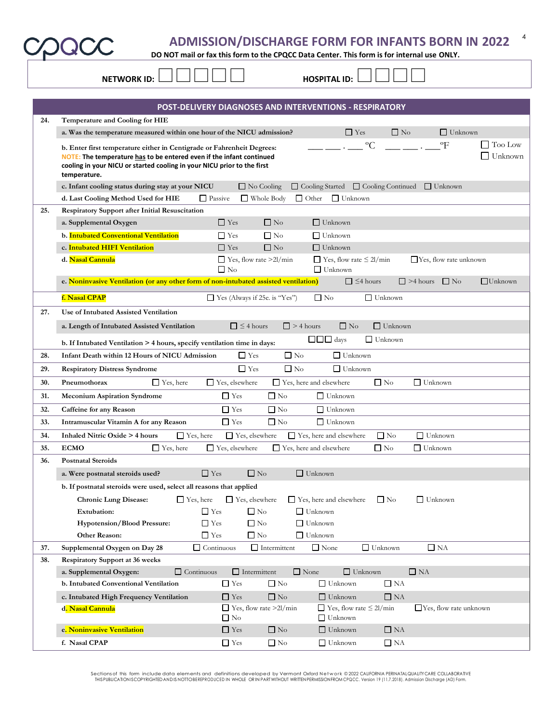**DO NOT mail or fax this form to the CPQCC Data Center. This form is for internal use ONLY.**

| $\mathbf{A}$ |  |
|--------------|--|

4

| POST-DELIVERY DIAGNOSES AND INTERVENTIONS - RESPIRATORY<br>24.<br>Temperature and Cooling for HIE<br>$\Box$ No<br>$\Box$ Yes<br>a. Was the temperature measured within one hour of the NICU admission?<br>$\Box$ Unknown<br>$\rm ^{o}C$<br>$\mathrm{P}$<br>Too Low<br>b. Enter first temperature either in Centigrade or Fahrenheit Degrees:<br>Unknown<br>NOTE: The temperature has to be entered even if the infant continued<br>cooling in your NICU or started cooling in your NICU prior to the first<br>temperature.<br>$\Box$ Cooling Continued<br>$\Box$ No Cooling<br>$\Box$ Cooling Started<br>$\Box$ Unknown<br>c. Infant cooling status during stay at your NICU<br>$\Box$ Passive<br>$\Box$ Unknown<br>d. Last Cooling Method Used for HIE<br>$\Box$ Whole Body<br>$\Box$ Other<br><b>Respiratory Support after Initial Resuscitation</b><br>25.<br>$\Box$ Yes<br>a. Supplemental Oxygen<br>$\Box$ No<br>$\Box$ Unknown<br>b. Intubated Conventional Ventilation<br>$\Box$ Yes<br>$\Box$ No<br>$\Box$ Unknown<br>$\Box$ No<br>c. Intubated HIFI Ventilation<br>$\Box$ Yes<br>$\Box$ Unknown<br>d. Nasal Cannula<br>$\Box$ Yes, flow rate $\leq$ 2l/min<br>$\Box$ Yes, flow rate >2l/min<br>$\Box$ Yes, flow rate unknown<br>$\Box$ No<br>$\Box$ Unknown<br>e. Noninvasive Ventilation (or any other form of non-intubated assisted ventilation)<br>$\Box \leq 4$ hours<br>$\Box$ >4 hours $\Box$ No<br>$\Box$ Unknown<br>f. Nasal CPAP<br>$\Box$ Yes (Always if 25e. is "Yes")<br>$\Box$ No<br>$\Box$ Unknown<br>27.<br>Use of Intubated Assisted Ventilation<br>$\Box \leq 4$ hours<br>$\Box$ > 4 hours<br>$\Box$ No<br>$\Box$ Unknown<br>a. Length of Intubated Assisted Ventilation<br>$\Box$ $\Box$ days<br>$\Box$ Unknown<br>b. If Intubated Ventilation > 4 hours, specify ventilation time in days:<br>$\Box$ No<br>$\Box$ Yes<br>$\Box$ Unknown<br>Infant Death within 12 Hours of NICU Admission<br>28.<br>$\Box$ Yes<br>$\Box$ No<br>$\Box$ Unknown<br>29.<br><b>Respiratory Distress Syndrome</b><br>$\Box$ Yes, elsewhere<br>$\Box$ Yes, here and elsewhere<br>$\Box$ No<br>$\Box$ Unknown<br>30.<br>Pneumothorax<br>$\Box$ Yes, here<br>$\Box$ Yes<br>$\Box$ No<br>$\Box$ Unknown<br><b>Meconium Aspiration Syndrome</b><br>31.<br>$\Box$ No<br>$\Box$ Yes<br>$\Box$ Unknown<br>32.<br>Caffeine for any Reason<br>$\Box$ Yes<br>$\Box$ No<br>$\Box$ Unknown<br>33.<br>Intramuscular Vitamin A for any Reason<br>$\Box$ No<br>$\Box$ Unknown<br>34.<br>Inhaled Nitric Oxide > 4 hours<br>$\Box$ Yes, here<br>$\Box$ Yes, elsewhere<br>$\Box$ Yes, here and elsewhere<br>$\Box$ Yes, here<br>$\Box$ Yes, elsewhere<br>$\Box$ Yes, here and elsewhere<br>$\Box$ No<br>$\Box$ Unknown<br>35.<br><b>ECMO</b><br><b>Postnatal Steroids</b><br>36.<br>$\Box$ Yes<br>$\Box$ Unknown<br>$\Box$ No<br>a. Were postnatal steroids used?<br>b. If postnatal steroids were used, select all reasons that applied<br>$\Box$ Yes, elsewhere<br>$\Box$ Unknown<br><b>Chronic Lung Disease:</b><br>$\Box$ Yes, here<br>$\Box$ Yes, here and elsewhere<br>$\Box$ No<br>$\Box$ Yes<br>$\Box$ No<br>$\Box$ Unknown<br><b>Extubation:</b><br>$\Box$ Unknown<br><b>Hypotension/Blood Pressure:</b><br>$\Box$ Yes<br>$\Box$ No<br>Other Reason:<br>$\Box$ No<br>$\Box$ Unknown<br>$\Box$ Yes<br>$\Box$ None<br>$\Box$ NA<br>$\Box$ Continuous<br>$\Box$ Intermittent<br>$\Box$ Unknown<br>Supplemental Oxygen on Day 28<br>37.<br><b>Respiratory Support at 36 weeks</b><br>38.<br>$\Box$ Continuous<br>$\Box$ Intermittent<br>$\Box$ None<br>$\Box$ NA<br>a. Supplemental Oxygen:<br>$\Box$ Unknown<br>b. Intubated Conventional Ventilation<br>$\hfill\Box$<br>Yes<br>$\Box$ No<br>$\Box$ Unknown<br>$\Box$ NA<br>$\Box$ No | <b>NETWORK ID:</b>                      |                         | <b>HOSPITAL ID:</b> |           |  |
|----------------------------------------------------------------------------------------------------------------------------------------------------------------------------------------------------------------------------------------------------------------------------------------------------------------------------------------------------------------------------------------------------------------------------------------------------------------------------------------------------------------------------------------------------------------------------------------------------------------------------------------------------------------------------------------------------------------------------------------------------------------------------------------------------------------------------------------------------------------------------------------------------------------------------------------------------------------------------------------------------------------------------------------------------------------------------------------------------------------------------------------------------------------------------------------------------------------------------------------------------------------------------------------------------------------------------------------------------------------------------------------------------------------------------------------------------------------------------------------------------------------------------------------------------------------------------------------------------------------------------------------------------------------------------------------------------------------------------------------------------------------------------------------------------------------------------------------------------------------------------------------------------------------------------------------------------------------------------------------------------------------------------------------------------------------------------------------------------------------------------------------------------------------------------------------------------------------------------------------------------------------------------------------------------------------------------------------------------------------------------------------------------------------------------------------------------------------------------------------------------------------------------------------------------------------------------------------------------------------------------------------------------------------------------------------------------------------------------------------------------------------------------------------------------------------------------------------------------------------------------------------------------------------------------------------------------------------------------------------------------------------------------------------------------------------------------------------------------------------------------------------------------------------------------------------------------------------------------------------------------------------------------------------------------------------------------------------------------------------------------------------------------------------------------------------------------------------------------------------------------------------------------------------------------------------------------------------------------------------------------------------------------------------------------------------------------------------------------------|-----------------------------------------|-------------------------|---------------------|-----------|--|
|                                                                                                                                                                                                                                                                                                                                                                                                                                                                                                                                                                                                                                                                                                                                                                                                                                                                                                                                                                                                                                                                                                                                                                                                                                                                                                                                                                                                                                                                                                                                                                                                                                                                                                                                                                                                                                                                                                                                                                                                                                                                                                                                                                                                                                                                                                                                                                                                                                                                                                                                                                                                                                                                                                                                                                                                                                                                                                                                                                                                                                                                                                                                                                                                                                                                                                                                                                                                                                                                                                                                                                                                                                                                                                                                  |                                         |                         |                     |           |  |
|                                                                                                                                                                                                                                                                                                                                                                                                                                                                                                                                                                                                                                                                                                                                                                                                                                                                                                                                                                                                                                                                                                                                                                                                                                                                                                                                                                                                                                                                                                                                                                                                                                                                                                                                                                                                                                                                                                                                                                                                                                                                                                                                                                                                                                                                                                                                                                                                                                                                                                                                                                                                                                                                                                                                                                                                                                                                                                                                                                                                                                                                                                                                                                                                                                                                                                                                                                                                                                                                                                                                                                                                                                                                                                                                  |                                         |                         |                     |           |  |
|                                                                                                                                                                                                                                                                                                                                                                                                                                                                                                                                                                                                                                                                                                                                                                                                                                                                                                                                                                                                                                                                                                                                                                                                                                                                                                                                                                                                                                                                                                                                                                                                                                                                                                                                                                                                                                                                                                                                                                                                                                                                                                                                                                                                                                                                                                                                                                                                                                                                                                                                                                                                                                                                                                                                                                                                                                                                                                                                                                                                                                                                                                                                                                                                                                                                                                                                                                                                                                                                                                                                                                                                                                                                                                                                  |                                         |                         |                     |           |  |
|                                                                                                                                                                                                                                                                                                                                                                                                                                                                                                                                                                                                                                                                                                                                                                                                                                                                                                                                                                                                                                                                                                                                                                                                                                                                                                                                                                                                                                                                                                                                                                                                                                                                                                                                                                                                                                                                                                                                                                                                                                                                                                                                                                                                                                                                                                                                                                                                                                                                                                                                                                                                                                                                                                                                                                                                                                                                                                                                                                                                                                                                                                                                                                                                                                                                                                                                                                                                                                                                                                                                                                                                                                                                                                                                  |                                         |                         |                     |           |  |
|                                                                                                                                                                                                                                                                                                                                                                                                                                                                                                                                                                                                                                                                                                                                                                                                                                                                                                                                                                                                                                                                                                                                                                                                                                                                                                                                                                                                                                                                                                                                                                                                                                                                                                                                                                                                                                                                                                                                                                                                                                                                                                                                                                                                                                                                                                                                                                                                                                                                                                                                                                                                                                                                                                                                                                                                                                                                                                                                                                                                                                                                                                                                                                                                                                                                                                                                                                                                                                                                                                                                                                                                                                                                                                                                  |                                         |                         |                     |           |  |
|                                                                                                                                                                                                                                                                                                                                                                                                                                                                                                                                                                                                                                                                                                                                                                                                                                                                                                                                                                                                                                                                                                                                                                                                                                                                                                                                                                                                                                                                                                                                                                                                                                                                                                                                                                                                                                                                                                                                                                                                                                                                                                                                                                                                                                                                                                                                                                                                                                                                                                                                                                                                                                                                                                                                                                                                                                                                                                                                                                                                                                                                                                                                                                                                                                                                                                                                                                                                                                                                                                                                                                                                                                                                                                                                  |                                         |                         |                     |           |  |
|                                                                                                                                                                                                                                                                                                                                                                                                                                                                                                                                                                                                                                                                                                                                                                                                                                                                                                                                                                                                                                                                                                                                                                                                                                                                                                                                                                                                                                                                                                                                                                                                                                                                                                                                                                                                                                                                                                                                                                                                                                                                                                                                                                                                                                                                                                                                                                                                                                                                                                                                                                                                                                                                                                                                                                                                                                                                                                                                                                                                                                                                                                                                                                                                                                                                                                                                                                                                                                                                                                                                                                                                                                                                                                                                  |                                         |                         |                     |           |  |
|                                                                                                                                                                                                                                                                                                                                                                                                                                                                                                                                                                                                                                                                                                                                                                                                                                                                                                                                                                                                                                                                                                                                                                                                                                                                                                                                                                                                                                                                                                                                                                                                                                                                                                                                                                                                                                                                                                                                                                                                                                                                                                                                                                                                                                                                                                                                                                                                                                                                                                                                                                                                                                                                                                                                                                                                                                                                                                                                                                                                                                                                                                                                                                                                                                                                                                                                                                                                                                                                                                                                                                                                                                                                                                                                  |                                         |                         |                     |           |  |
|                                                                                                                                                                                                                                                                                                                                                                                                                                                                                                                                                                                                                                                                                                                                                                                                                                                                                                                                                                                                                                                                                                                                                                                                                                                                                                                                                                                                                                                                                                                                                                                                                                                                                                                                                                                                                                                                                                                                                                                                                                                                                                                                                                                                                                                                                                                                                                                                                                                                                                                                                                                                                                                                                                                                                                                                                                                                                                                                                                                                                                                                                                                                                                                                                                                                                                                                                                                                                                                                                                                                                                                                                                                                                                                                  |                                         |                         |                     |           |  |
|                                                                                                                                                                                                                                                                                                                                                                                                                                                                                                                                                                                                                                                                                                                                                                                                                                                                                                                                                                                                                                                                                                                                                                                                                                                                                                                                                                                                                                                                                                                                                                                                                                                                                                                                                                                                                                                                                                                                                                                                                                                                                                                                                                                                                                                                                                                                                                                                                                                                                                                                                                                                                                                                                                                                                                                                                                                                                                                                                                                                                                                                                                                                                                                                                                                                                                                                                                                                                                                                                                                                                                                                                                                                                                                                  |                                         |                         |                     |           |  |
|                                                                                                                                                                                                                                                                                                                                                                                                                                                                                                                                                                                                                                                                                                                                                                                                                                                                                                                                                                                                                                                                                                                                                                                                                                                                                                                                                                                                                                                                                                                                                                                                                                                                                                                                                                                                                                                                                                                                                                                                                                                                                                                                                                                                                                                                                                                                                                                                                                                                                                                                                                                                                                                                                                                                                                                                                                                                                                                                                                                                                                                                                                                                                                                                                                                                                                                                                                                                                                                                                                                                                                                                                                                                                                                                  |                                         |                         |                     |           |  |
|                                                                                                                                                                                                                                                                                                                                                                                                                                                                                                                                                                                                                                                                                                                                                                                                                                                                                                                                                                                                                                                                                                                                                                                                                                                                                                                                                                                                                                                                                                                                                                                                                                                                                                                                                                                                                                                                                                                                                                                                                                                                                                                                                                                                                                                                                                                                                                                                                                                                                                                                                                                                                                                                                                                                                                                                                                                                                                                                                                                                                                                                                                                                                                                                                                                                                                                                                                                                                                                                                                                                                                                                                                                                                                                                  |                                         |                         |                     |           |  |
|                                                                                                                                                                                                                                                                                                                                                                                                                                                                                                                                                                                                                                                                                                                                                                                                                                                                                                                                                                                                                                                                                                                                                                                                                                                                                                                                                                                                                                                                                                                                                                                                                                                                                                                                                                                                                                                                                                                                                                                                                                                                                                                                                                                                                                                                                                                                                                                                                                                                                                                                                                                                                                                                                                                                                                                                                                                                                                                                                                                                                                                                                                                                                                                                                                                                                                                                                                                                                                                                                                                                                                                                                                                                                                                                  |                                         |                         |                     |           |  |
|                                                                                                                                                                                                                                                                                                                                                                                                                                                                                                                                                                                                                                                                                                                                                                                                                                                                                                                                                                                                                                                                                                                                                                                                                                                                                                                                                                                                                                                                                                                                                                                                                                                                                                                                                                                                                                                                                                                                                                                                                                                                                                                                                                                                                                                                                                                                                                                                                                                                                                                                                                                                                                                                                                                                                                                                                                                                                                                                                                                                                                                                                                                                                                                                                                                                                                                                                                                                                                                                                                                                                                                                                                                                                                                                  |                                         |                         |                     |           |  |
|                                                                                                                                                                                                                                                                                                                                                                                                                                                                                                                                                                                                                                                                                                                                                                                                                                                                                                                                                                                                                                                                                                                                                                                                                                                                                                                                                                                                                                                                                                                                                                                                                                                                                                                                                                                                                                                                                                                                                                                                                                                                                                                                                                                                                                                                                                                                                                                                                                                                                                                                                                                                                                                                                                                                                                                                                                                                                                                                                                                                                                                                                                                                                                                                                                                                                                                                                                                                                                                                                                                                                                                                                                                                                                                                  |                                         |                         |                     |           |  |
|                                                                                                                                                                                                                                                                                                                                                                                                                                                                                                                                                                                                                                                                                                                                                                                                                                                                                                                                                                                                                                                                                                                                                                                                                                                                                                                                                                                                                                                                                                                                                                                                                                                                                                                                                                                                                                                                                                                                                                                                                                                                                                                                                                                                                                                                                                                                                                                                                                                                                                                                                                                                                                                                                                                                                                                                                                                                                                                                                                                                                                                                                                                                                                                                                                                                                                                                                                                                                                                                                                                                                                                                                                                                                                                                  |                                         |                         |                     |           |  |
|                                                                                                                                                                                                                                                                                                                                                                                                                                                                                                                                                                                                                                                                                                                                                                                                                                                                                                                                                                                                                                                                                                                                                                                                                                                                                                                                                                                                                                                                                                                                                                                                                                                                                                                                                                                                                                                                                                                                                                                                                                                                                                                                                                                                                                                                                                                                                                                                                                                                                                                                                                                                                                                                                                                                                                                                                                                                                                                                                                                                                                                                                                                                                                                                                                                                                                                                                                                                                                                                                                                                                                                                                                                                                                                                  |                                         |                         |                     |           |  |
|                                                                                                                                                                                                                                                                                                                                                                                                                                                                                                                                                                                                                                                                                                                                                                                                                                                                                                                                                                                                                                                                                                                                                                                                                                                                                                                                                                                                                                                                                                                                                                                                                                                                                                                                                                                                                                                                                                                                                                                                                                                                                                                                                                                                                                                                                                                                                                                                                                                                                                                                                                                                                                                                                                                                                                                                                                                                                                                                                                                                                                                                                                                                                                                                                                                                                                                                                                                                                                                                                                                                                                                                                                                                                                                                  |                                         |                         |                     |           |  |
|                                                                                                                                                                                                                                                                                                                                                                                                                                                                                                                                                                                                                                                                                                                                                                                                                                                                                                                                                                                                                                                                                                                                                                                                                                                                                                                                                                                                                                                                                                                                                                                                                                                                                                                                                                                                                                                                                                                                                                                                                                                                                                                                                                                                                                                                                                                                                                                                                                                                                                                                                                                                                                                                                                                                                                                                                                                                                                                                                                                                                                                                                                                                                                                                                                                                                                                                                                                                                                                                                                                                                                                                                                                                                                                                  |                                         |                         |                     |           |  |
|                                                                                                                                                                                                                                                                                                                                                                                                                                                                                                                                                                                                                                                                                                                                                                                                                                                                                                                                                                                                                                                                                                                                                                                                                                                                                                                                                                                                                                                                                                                                                                                                                                                                                                                                                                                                                                                                                                                                                                                                                                                                                                                                                                                                                                                                                                                                                                                                                                                                                                                                                                                                                                                                                                                                                                                                                                                                                                                                                                                                                                                                                                                                                                                                                                                                                                                                                                                                                                                                                                                                                                                                                                                                                                                                  |                                         |                         |                     |           |  |
|                                                                                                                                                                                                                                                                                                                                                                                                                                                                                                                                                                                                                                                                                                                                                                                                                                                                                                                                                                                                                                                                                                                                                                                                                                                                                                                                                                                                                                                                                                                                                                                                                                                                                                                                                                                                                                                                                                                                                                                                                                                                                                                                                                                                                                                                                                                                                                                                                                                                                                                                                                                                                                                                                                                                                                                                                                                                                                                                                                                                                                                                                                                                                                                                                                                                                                                                                                                                                                                                                                                                                                                                                                                                                                                                  |                                         |                         |                     |           |  |
|                                                                                                                                                                                                                                                                                                                                                                                                                                                                                                                                                                                                                                                                                                                                                                                                                                                                                                                                                                                                                                                                                                                                                                                                                                                                                                                                                                                                                                                                                                                                                                                                                                                                                                                                                                                                                                                                                                                                                                                                                                                                                                                                                                                                                                                                                                                                                                                                                                                                                                                                                                                                                                                                                                                                                                                                                                                                                                                                                                                                                                                                                                                                                                                                                                                                                                                                                                                                                                                                                                                                                                                                                                                                                                                                  |                                         |                         |                     |           |  |
|                                                                                                                                                                                                                                                                                                                                                                                                                                                                                                                                                                                                                                                                                                                                                                                                                                                                                                                                                                                                                                                                                                                                                                                                                                                                                                                                                                                                                                                                                                                                                                                                                                                                                                                                                                                                                                                                                                                                                                                                                                                                                                                                                                                                                                                                                                                                                                                                                                                                                                                                                                                                                                                                                                                                                                                                                                                                                                                                                                                                                                                                                                                                                                                                                                                                                                                                                                                                                                                                                                                                                                                                                                                                                                                                  |                                         |                         |                     |           |  |
|                                                                                                                                                                                                                                                                                                                                                                                                                                                                                                                                                                                                                                                                                                                                                                                                                                                                                                                                                                                                                                                                                                                                                                                                                                                                                                                                                                                                                                                                                                                                                                                                                                                                                                                                                                                                                                                                                                                                                                                                                                                                                                                                                                                                                                                                                                                                                                                                                                                                                                                                                                                                                                                                                                                                                                                                                                                                                                                                                                                                                                                                                                                                                                                                                                                                                                                                                                                                                                                                                                                                                                                                                                                                                                                                  |                                         |                         |                     |           |  |
|                                                                                                                                                                                                                                                                                                                                                                                                                                                                                                                                                                                                                                                                                                                                                                                                                                                                                                                                                                                                                                                                                                                                                                                                                                                                                                                                                                                                                                                                                                                                                                                                                                                                                                                                                                                                                                                                                                                                                                                                                                                                                                                                                                                                                                                                                                                                                                                                                                                                                                                                                                                                                                                                                                                                                                                                                                                                                                                                                                                                                                                                                                                                                                                                                                                                                                                                                                                                                                                                                                                                                                                                                                                                                                                                  |                                         |                         |                     |           |  |
|                                                                                                                                                                                                                                                                                                                                                                                                                                                                                                                                                                                                                                                                                                                                                                                                                                                                                                                                                                                                                                                                                                                                                                                                                                                                                                                                                                                                                                                                                                                                                                                                                                                                                                                                                                                                                                                                                                                                                                                                                                                                                                                                                                                                                                                                                                                                                                                                                                                                                                                                                                                                                                                                                                                                                                                                                                                                                                                                                                                                                                                                                                                                                                                                                                                                                                                                                                                                                                                                                                                                                                                                                                                                                                                                  |                                         |                         |                     |           |  |
|                                                                                                                                                                                                                                                                                                                                                                                                                                                                                                                                                                                                                                                                                                                                                                                                                                                                                                                                                                                                                                                                                                                                                                                                                                                                                                                                                                                                                                                                                                                                                                                                                                                                                                                                                                                                                                                                                                                                                                                                                                                                                                                                                                                                                                                                                                                                                                                                                                                                                                                                                                                                                                                                                                                                                                                                                                                                                                                                                                                                                                                                                                                                                                                                                                                                                                                                                                                                                                                                                                                                                                                                                                                                                                                                  |                                         |                         |                     |           |  |
|                                                                                                                                                                                                                                                                                                                                                                                                                                                                                                                                                                                                                                                                                                                                                                                                                                                                                                                                                                                                                                                                                                                                                                                                                                                                                                                                                                                                                                                                                                                                                                                                                                                                                                                                                                                                                                                                                                                                                                                                                                                                                                                                                                                                                                                                                                                                                                                                                                                                                                                                                                                                                                                                                                                                                                                                                                                                                                                                                                                                                                                                                                                                                                                                                                                                                                                                                                                                                                                                                                                                                                                                                                                                                                                                  |                                         |                         |                     |           |  |
|                                                                                                                                                                                                                                                                                                                                                                                                                                                                                                                                                                                                                                                                                                                                                                                                                                                                                                                                                                                                                                                                                                                                                                                                                                                                                                                                                                                                                                                                                                                                                                                                                                                                                                                                                                                                                                                                                                                                                                                                                                                                                                                                                                                                                                                                                                                                                                                                                                                                                                                                                                                                                                                                                                                                                                                                                                                                                                                                                                                                                                                                                                                                                                                                                                                                                                                                                                                                                                                                                                                                                                                                                                                                                                                                  |                                         |                         |                     |           |  |
|                                                                                                                                                                                                                                                                                                                                                                                                                                                                                                                                                                                                                                                                                                                                                                                                                                                                                                                                                                                                                                                                                                                                                                                                                                                                                                                                                                                                                                                                                                                                                                                                                                                                                                                                                                                                                                                                                                                                                                                                                                                                                                                                                                                                                                                                                                                                                                                                                                                                                                                                                                                                                                                                                                                                                                                                                                                                                                                                                                                                                                                                                                                                                                                                                                                                                                                                                                                                                                                                                                                                                                                                                                                                                                                                  |                                         |                         |                     |           |  |
|                                                                                                                                                                                                                                                                                                                                                                                                                                                                                                                                                                                                                                                                                                                                                                                                                                                                                                                                                                                                                                                                                                                                                                                                                                                                                                                                                                                                                                                                                                                                                                                                                                                                                                                                                                                                                                                                                                                                                                                                                                                                                                                                                                                                                                                                                                                                                                                                                                                                                                                                                                                                                                                                                                                                                                                                                                                                                                                                                                                                                                                                                                                                                                                                                                                                                                                                                                                                                                                                                                                                                                                                                                                                                                                                  |                                         |                         |                     |           |  |
|                                                                                                                                                                                                                                                                                                                                                                                                                                                                                                                                                                                                                                                                                                                                                                                                                                                                                                                                                                                                                                                                                                                                                                                                                                                                                                                                                                                                                                                                                                                                                                                                                                                                                                                                                                                                                                                                                                                                                                                                                                                                                                                                                                                                                                                                                                                                                                                                                                                                                                                                                                                                                                                                                                                                                                                                                                                                                                                                                                                                                                                                                                                                                                                                                                                                                                                                                                                                                                                                                                                                                                                                                                                                                                                                  |                                         |                         |                     |           |  |
|                                                                                                                                                                                                                                                                                                                                                                                                                                                                                                                                                                                                                                                                                                                                                                                                                                                                                                                                                                                                                                                                                                                                                                                                                                                                                                                                                                                                                                                                                                                                                                                                                                                                                                                                                                                                                                                                                                                                                                                                                                                                                                                                                                                                                                                                                                                                                                                                                                                                                                                                                                                                                                                                                                                                                                                                                                                                                                                                                                                                                                                                                                                                                                                                                                                                                                                                                                                                                                                                                                                                                                                                                                                                                                                                  |                                         |                         |                     |           |  |
|                                                                                                                                                                                                                                                                                                                                                                                                                                                                                                                                                                                                                                                                                                                                                                                                                                                                                                                                                                                                                                                                                                                                                                                                                                                                                                                                                                                                                                                                                                                                                                                                                                                                                                                                                                                                                                                                                                                                                                                                                                                                                                                                                                                                                                                                                                                                                                                                                                                                                                                                                                                                                                                                                                                                                                                                                                                                                                                                                                                                                                                                                                                                                                                                                                                                                                                                                                                                                                                                                                                                                                                                                                                                                                                                  |                                         |                         |                     |           |  |
|                                                                                                                                                                                                                                                                                                                                                                                                                                                                                                                                                                                                                                                                                                                                                                                                                                                                                                                                                                                                                                                                                                                                                                                                                                                                                                                                                                                                                                                                                                                                                                                                                                                                                                                                                                                                                                                                                                                                                                                                                                                                                                                                                                                                                                                                                                                                                                                                                                                                                                                                                                                                                                                                                                                                                                                                                                                                                                                                                                                                                                                                                                                                                                                                                                                                                                                                                                                                                                                                                                                                                                                                                                                                                                                                  |                                         |                         |                     |           |  |
|                                                                                                                                                                                                                                                                                                                                                                                                                                                                                                                                                                                                                                                                                                                                                                                                                                                                                                                                                                                                                                                                                                                                                                                                                                                                                                                                                                                                                                                                                                                                                                                                                                                                                                                                                                                                                                                                                                                                                                                                                                                                                                                                                                                                                                                                                                                                                                                                                                                                                                                                                                                                                                                                                                                                                                                                                                                                                                                                                                                                                                                                                                                                                                                                                                                                                                                                                                                                                                                                                                                                                                                                                                                                                                                                  |                                         |                         |                     |           |  |
|                                                                                                                                                                                                                                                                                                                                                                                                                                                                                                                                                                                                                                                                                                                                                                                                                                                                                                                                                                                                                                                                                                                                                                                                                                                                                                                                                                                                                                                                                                                                                                                                                                                                                                                                                                                                                                                                                                                                                                                                                                                                                                                                                                                                                                                                                                                                                                                                                                                                                                                                                                                                                                                                                                                                                                                                                                                                                                                                                                                                                                                                                                                                                                                                                                                                                                                                                                                                                                                                                                                                                                                                                                                                                                                                  | c. Intubated High Frequency Ventilation | $\Box$ Yes              | $\Box$ Unknown      | $\Box$ NA |  |
| $\Box$ Yes, flow rate >2l/min<br>$\Box$ Yes, flow rate $\leq$ 2l/min<br>Yes, flow rate unknown<br>d. Nasal Cannula<br>$\Box$ No<br>$\Box$ Unknown                                                                                                                                                                                                                                                                                                                                                                                                                                                                                                                                                                                                                                                                                                                                                                                                                                                                                                                                                                                                                                                                                                                                                                                                                                                                                                                                                                                                                                                                                                                                                                                                                                                                                                                                                                                                                                                                                                                                                                                                                                                                                                                                                                                                                                                                                                                                                                                                                                                                                                                                                                                                                                                                                                                                                                                                                                                                                                                                                                                                                                                                                                                                                                                                                                                                                                                                                                                                                                                                                                                                                                                |                                         |                         |                     |           |  |
| $\Box$ No<br>$\Box$ NA<br>e. Noninvasive Ventilation<br>$\Box$ Yes<br>$\Box$ Unknown                                                                                                                                                                                                                                                                                                                                                                                                                                                                                                                                                                                                                                                                                                                                                                                                                                                                                                                                                                                                                                                                                                                                                                                                                                                                                                                                                                                                                                                                                                                                                                                                                                                                                                                                                                                                                                                                                                                                                                                                                                                                                                                                                                                                                                                                                                                                                                                                                                                                                                                                                                                                                                                                                                                                                                                                                                                                                                                                                                                                                                                                                                                                                                                                                                                                                                                                                                                                                                                                                                                                                                                                                                             |                                         |                         |                     |           |  |
|                                                                                                                                                                                                                                                                                                                                                                                                                                                                                                                                                                                                                                                                                                                                                                                                                                                                                                                                                                                                                                                                                                                                                                                                                                                                                                                                                                                                                                                                                                                                                                                                                                                                                                                                                                                                                                                                                                                                                                                                                                                                                                                                                                                                                                                                                                                                                                                                                                                                                                                                                                                                                                                                                                                                                                                                                                                                                                                                                                                                                                                                                                                                                                                                                                                                                                                                                                                                                                                                                                                                                                                                                                                                                                                                  | f. Nasal CPAP                           | $\Box$ Yes<br>$\Box$ No | $\Box$ Unknown      | $\Box$ NA |  |
|                                                                                                                                                                                                                                                                                                                                                                                                                                                                                                                                                                                                                                                                                                                                                                                                                                                                                                                                                                                                                                                                                                                                                                                                                                                                                                                                                                                                                                                                                                                                                                                                                                                                                                                                                                                                                                                                                                                                                                                                                                                                                                                                                                                                                                                                                                                                                                                                                                                                                                                                                                                                                                                                                                                                                                                                                                                                                                                                                                                                                                                                                                                                                                                                                                                                                                                                                                                                                                                                                                                                                                                                                                                                                                                                  |                                         |                         |                     |           |  |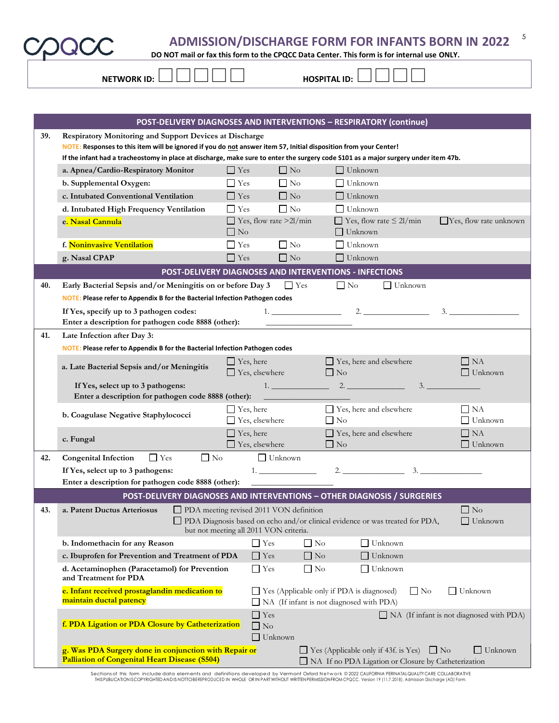5

**DO NOT mail or fax this form to the CPQCC Data Center. This form is for internal use ONLY.**

| NIFTIAIODIZID. |  |
|----------------|--|

**NETWORK ID:**  $\Box$  $\Box$  $\Box$  $\Box$  $\Box$ **HOSPITAL ID:**  $\Box$  $\Box$  $\Box$  $\Box$ 

|     | POST-DELIVERY DIAGNOSES AND INTERVENTIONS - RESPIRATORY (continue)                                                                  |                  |                                           |              |                                                  |                                                                              |           |                                            |
|-----|-------------------------------------------------------------------------------------------------------------------------------------|------------------|-------------------------------------------|--------------|--------------------------------------------------|------------------------------------------------------------------------------|-----------|--------------------------------------------|
| 39. | Respiratory Monitoring and Support Devices at Discharge                                                                             |                  |                                           |              |                                                  |                                                                              |           |                                            |
|     | NOTE: Responses to this item will be ignored if you do not answer item 57, Initial disposition from your Center!                    |                  |                                           |              |                                                  |                                                                              |           |                                            |
|     | If the infant had a tracheostomy in place at discharge, make sure to enter the surgery code S101 as a major surgery under item 47b. |                  |                                           |              |                                                  |                                                                              |           |                                            |
|     | a. Apnea/Cardio-Respiratory Monitor                                                                                                 | $\Box$ Yes       | $\Box$ No                                 |              | $\Box$ Unknown                                   |                                                                              |           |                                            |
|     | b. Supplemental Oxygen:                                                                                                             | $\Box$ Yes       | $\Box$ No                                 |              | $\Box$ Unknown                                   |                                                                              |           |                                            |
|     | c. Intubated Conventional Ventilation                                                                                               | $\Gamma$ Yes     | $\Box$ No                                 |              | $\Box$ Unknown                                   |                                                                              |           |                                            |
|     | d. Intubated High Frequency Ventilation                                                                                             | $\Box$ Yes       | $\Box$ No                                 |              | $\prod$ Unknown                                  |                                                                              |           |                                            |
|     | e. Nasal Cannula                                                                                                                    |                  | $\Box$ Yes, flow rate >2l/min             |              |                                                  | $\Box$ Yes, flow rate $\leq$ 2l/min                                          |           | $\Box$ Yes, flow rate unknown              |
|     |                                                                                                                                     | $\Box$ No        |                                           |              | $\Box$ Unknown                                   |                                                                              |           |                                            |
|     | f. Noninvasive Ventilation                                                                                                          | $\Box$ Yes       | $\Box$ No                                 |              | Unknown                                          |                                                                              |           |                                            |
|     | g. Nasal CPAP                                                                                                                       | $\Gamma$ Yes     | $\Box$ No                                 |              | $\Box$ Unknown                                   |                                                                              |           |                                            |
|     | POST-DELIVERY DIAGNOSES AND INTERVENTIONS - INFECTIONS                                                                              |                  |                                           |              |                                                  |                                                                              |           |                                            |
| 40. | Early Bacterial Sepsis and/or Meningitis on or before Day 3                                                                         |                  |                                           | $\Box$ Yes   | $\Box$ No                                        | $\Box$ Unknown                                                               |           |                                            |
|     | <b>NOTE:</b> Please refer to Appendix B for the Bacterial Infection Pathogen codes                                                  |                  |                                           |              |                                                  |                                                                              |           |                                            |
|     | If Yes, specify up to 3 pathogen codes:                                                                                             |                  |                                           |              |                                                  | 1. $\qquad \qquad 2.$                                                        |           | 3.                                         |
|     | Enter a description for pathogen code 8888 (other):                                                                                 |                  |                                           |              |                                                  |                                                                              |           |                                            |
| 41. | Late Infection after Day 3:                                                                                                         |                  |                                           |              |                                                  |                                                                              |           |                                            |
|     | <b>NOTE: Please refer to Appendix B for the Bacterial Infection Pathogen codes</b>                                                  |                  |                                           |              |                                                  |                                                                              |           |                                            |
|     | a. Late Bacterial Sepsis and/or Meningitis                                                                                          |                  | $\Box$ Yes, here                          |              | $\Box$ Yes, here and elsewhere                   |                                                                              |           | $\Box$ NA                                  |
|     |                                                                                                                                     |                  | $\Box$ Yes, elsewhere                     |              | $\Box$ No                                        |                                                                              |           | $\Box$ Unknown                             |
|     | If Yes, select up to 3 pathogens:<br>Enter a description for pathogen code 8888 (other):                                            |                  |                                           |              | 1. $\qquad \qquad 2.$                            |                                                                              | 3.        |                                            |
|     |                                                                                                                                     |                  |                                           |              | □ Yes, here and elsewhere                        |                                                                              |           | $\Box$ NA                                  |
|     | b. Coagulase Negative Staphylococci                                                                                                 |                  | $\Box$ Yes, here<br>$\Box$ Yes, elsewhere |              | $\Box$ No                                        |                                                                              |           | $\Box$ Unknown                             |
|     |                                                                                                                                     | $\Box$ Yes, here |                                           |              | $\Box$ Yes, here and elsewhere                   |                                                                              |           | $\Box$ NA                                  |
|     | c. Fungal                                                                                                                           |                  | $\Box$ Yes, elsewhere                     |              | $\Box$ No                                        |                                                                              |           | $\Box$ Unknown                             |
| 42. | $\Box$ No<br><b>Congenital Infection</b><br>$\Box$ Yes                                                                              |                  | $\Box$ Unknown                            |              |                                                  |                                                                              |           |                                            |
|     | If Yes, select up to 3 pathogens:                                                                                                   |                  |                                           |              |                                                  |                                                                              |           |                                            |
|     | Enter a description for pathogen code 8888 (other):                                                                                 |                  |                                           |              |                                                  |                                                                              |           |                                            |
|     | POST-DELIVERY DIAGNOSES AND INTERVENTIONS - OTHER DIAGNOSIS / SURGERIES                                                             |                  |                                           |              |                                                  |                                                                              |           |                                            |
| 43. | <b>PDA</b> meeting revised 2011 VON definition<br>a. Patent Ductus Arteriosus                                                       |                  |                                           |              |                                                  |                                                                              |           | $\Box$ No                                  |
|     |                                                                                                                                     |                  |                                           |              |                                                  | PDA Diagnosis based on echo and/or clinical evidence or was treated for PDA, |           | $\Box$ Unknown                             |
|     |                                                                                                                                     |                  | but not meeting all 2011 VON criteria.    |              |                                                  |                                                                              |           |                                            |
|     | b. Indomethacin for any Reason                                                                                                      |                  | $\Box$ Yes                                | $\square$ No |                                                  | Unknown                                                                      |           |                                            |
|     | c. Ibuprofen for Prevention and Treatment of PDA                                                                                    |                  | $\Box$ Yes                                | $\Box$ No    |                                                  | Unknown                                                                      |           |                                            |
|     | d. Acetaminophen (Paracetamol) for Prevention                                                                                       |                  | $\Box$ Yes                                | $\Box$ No    |                                                  | Unknown                                                                      |           |                                            |
|     | and Treatment for PDA                                                                                                               |                  |                                           |              |                                                  |                                                                              |           |                                            |
|     | e. Infant received prostaglandin medication to<br>maintain ductal patency                                                           |                  |                                           |              | $\Box$ Yes (Applicable only if PDA is diagnosed) | $\Box$ No                                                                    |           | $\Box$ Unknown                             |
|     |                                                                                                                                     |                  |                                           |              | NA (If infant is not diagnosed with PDA)         |                                                                              |           |                                            |
|     | f. PDA Ligation or PDA Closure by Catheterization                                                                                   |                  | $\Box$ Yes<br>$\Box$ No                   |              |                                                  |                                                                              |           | □ NA (If infant is not diagnosed with PDA) |
|     |                                                                                                                                     |                  | $\Box$ Unknown                            |              |                                                  |                                                                              |           |                                            |
|     | g. Was PDA Surgery done in conjunction with Repair or                                                                               |                  |                                           |              |                                                  | $\Box$ Yes (Applicable only if 43f. is Yes)                                  | $\Box$ No | $\Box$ Unknown                             |
|     | <b>Palliation of Congenital Heart Disease (S504)</b>                                                                                |                  |                                           |              |                                                  | NA If no PDA Ligation or Closure by Catheterization                          |           |                                            |
|     |                                                                                                                                     |                  |                                           |              |                                                  |                                                                              |           |                                            |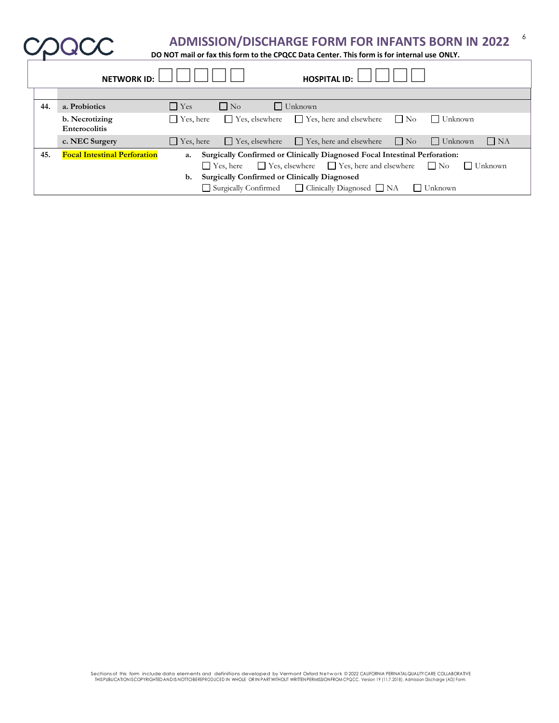| ADMISSION/DISCHARGE FORM FOR INFANTS BORN IN 2022 |  |
|---------------------------------------------------|--|
|---------------------------------------------------|--|

٦

**DO NOT mail or fax this form to the CPQCC Data Center. This form is for internal use ONLY.**

|     | <b>NETWORK ID:</b>                     |                  |                                                     | <b>HOSPITAL ID:</b>                                                        |                             |                |
|-----|----------------------------------------|------------------|-----------------------------------------------------|----------------------------------------------------------------------------|-----------------------------|----------------|
|     |                                        |                  |                                                     |                                                                            |                             |                |
| 44. | a. Probiotics                          | $\Gamma$ Yes     | $\Box$ No                                           | $\Box$ Unknown                                                             |                             |                |
|     | b. Necrotizing<br><b>Enterocolitis</b> | $\Box$ Yes, here | $\Box$ Yes, elsewhere                               | Yes, here and elsewhere                                                    | $\Box$ Unknown<br>$\Box$ No |                |
|     | c. NEC Surgery                         | $\Box$ Yes, here | $\Box$ Yes, elsewhere                               | $\Box$ Yes, here and elsewhere                                             | $\Box$ No<br>$\Box$ Unknown | $\Box$ NA      |
| 45. | <b>Focal Intestinal Perforation</b>    | a.               |                                                     | Surgically Confirmed or Clinically Diagnosed Focal Intestinal Perforation: |                             |                |
|     |                                        |                  | $\Box$ Yes, here                                    | $\Box$ Yes, elsewhere $\Box$ Yes, here and elsewhere $\Box$ No             |                             | $\Box$ Unknown |
|     |                                        | b.               | <b>Surgically Confirmed or Clinically Diagnosed</b> |                                                                            |                             |                |
|     |                                        |                  |                                                     | Surgically Confirmed Clinically Diagnosed NA                               | $\Box$ Unknown              |                |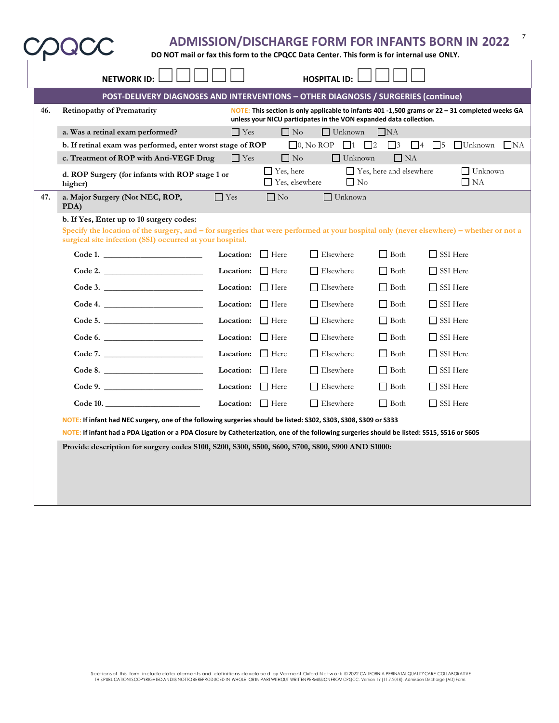|     | <b>NETWORK ID:</b>                                                                                                                                                                                  |                |                                           | <b>HOSPITAL ID:</b>                                                |                                |                                                                                                   |      |  |  |  |  |
|-----|-----------------------------------------------------------------------------------------------------------------------------------------------------------------------------------------------------|----------------|-------------------------------------------|--------------------------------------------------------------------|--------------------------------|---------------------------------------------------------------------------------------------------|------|--|--|--|--|
|     | POST-DELIVERY DIAGNOSES AND INTERVENTIONS - OTHER DIAGNOSIS / SURGERIES (continue)                                                                                                                  |                |                                           |                                                                    |                                |                                                                                                   |      |  |  |  |  |
| 46. | <b>Retinopathy of Prematurity</b>                                                                                                                                                                   |                |                                           | unless your NICU participates in the VON expanded data collection. |                                | NOTE: This section is only applicable to infants 401 -1,500 grams or $22 - 31$ completed weeks GA |      |  |  |  |  |
|     | a. Was a retinal exam performed?                                                                                                                                                                    | $\Box$ Yes     | $\Box$ No                                 | $\Box$ Unknown                                                     | $\Box$ NA                      |                                                                                                   |      |  |  |  |  |
|     | b. If retinal exam was performed, enter worst stage of ROP                                                                                                                                          |                |                                           | $\Box$ 0, No ROP<br>$\Box$ 1                                       | $\Box$ 2<br>$\Box$ 3           | $\Box$ 4 $\Box$ 5<br>$\Box$ Unknown                                                               | I NA |  |  |  |  |
|     | c. Treatment of ROP with Anti-VEGF Drug                                                                                                                                                             | $\Box$ Yes     | $\Box$ No                                 | $\Box$ Unknown                                                     | $\Box$ NA                      |                                                                                                   |      |  |  |  |  |
|     | d. ROP Surgery (for infants with ROP stage 1 or<br>higher)                                                                                                                                          |                | $\Box$ Yes, here<br>$\Box$ Yes, elsewhere | $\Box$ No                                                          | $\Box$ Yes, here and elsewhere | $\Box$ Unknown<br>$\Box$ NA                                                                       |      |  |  |  |  |
| 47. | a. Major Surgery (Not NEC, ROP,<br>PDA)                                                                                                                                                             | $\Box$ Yes     | $\Box$ No                                 | $\Box$ Unknown                                                     |                                |                                                                                                   |      |  |  |  |  |
|     | b. If Yes, Enter up to 10 surgery codes:                                                                                                                                                            |                |                                           |                                                                    |                                |                                                                                                   |      |  |  |  |  |
|     | Specify the location of the surgery, and – for surgeries that were performed at your hospital only (never elsewhere) – whether or not a<br>surgical site infection (SSI) occurred at your hospital. |                |                                           |                                                                    |                                |                                                                                                   |      |  |  |  |  |
|     | Code 1.                                                                                                                                                                                             | Location:      | Here                                      | $\Box$ Elsewhere                                                   | $\Box$ Both                    | $\Box$ SSI Here                                                                                   |      |  |  |  |  |
|     | Code 2.                                                                                                                                                                                             | Location:      | Here                                      | $\Box$ Elsewhere                                                   | $\Box$ Both                    | $\Box$ SSI Here                                                                                   |      |  |  |  |  |
|     | Code 3.                                                                                                                                                                                             | Location:      | Here                                      | $\Box$ Elsewhere                                                   | $\Box$ Both                    | $\Box$ SSI Here                                                                                   |      |  |  |  |  |
|     | Code 4.                                                                                                                                                                                             | Location:      | $\Box$ Here                               | $\Box$ Elsewhere                                                   | $\Box$ Both                    | $\Box$ SSI Here                                                                                   |      |  |  |  |  |
|     | Code 5.                                                                                                                                                                                             | Location:      | Here                                      | $\Box$ Elsewhere                                                   | $\Box$ Both                    | $\Box$ SSI Here                                                                                   |      |  |  |  |  |
|     | Code 6.                                                                                                                                                                                             | Location:      | $\Box$ Here                               | $\Box$ Elsewhere                                                   | $\Box$ Both                    | $\Box$ SSI Here                                                                                   |      |  |  |  |  |
|     | Code 7.                                                                                                                                                                                             | Location:      | Here Here                                 | Elsewhere                                                          | $\Box$ Both                    | SSI Here                                                                                          |      |  |  |  |  |
|     | Code 8.                                                                                                                                                                                             | Location:      | $\Box$ Here                               | $\Box$ Elsewhere                                                   | $\Box$ Both                    | $\Box$ SSI Here                                                                                   |      |  |  |  |  |
|     | Code 9.                                                                                                                                                                                             | Location:      | $\Box$ Here                               | Elsewhere                                                          | $\Box$ Both                    | $\Box$ SSI Here                                                                                   |      |  |  |  |  |
|     | Code 10.                                                                                                                                                                                            | Location: Here |                                           | $\Box$ Elsewhere                                                   | $\Box$ Both                    | □ SSI Here                                                                                        |      |  |  |  |  |
|     | NOTE: If infant had NEC surgery, one of the following surgeries should be listed: S302, S303, S308, S309 or S333                                                                                    |                |                                           |                                                                    |                                |                                                                                                   |      |  |  |  |  |
|     | NOTE: If infant had a PDA Ligation or a PDA Closure by Catheterization, one of the following surgeries should be listed: S515, S516 or S605                                                         |                |                                           |                                                                    |                                |                                                                                                   |      |  |  |  |  |
|     | Provide description for surgery codes S100, S200, S300, S500, S600, S700, S800, S900 AND S1000:                                                                                                     |                |                                           |                                                                    |                                |                                                                                                   |      |  |  |  |  |
|     |                                                                                                                                                                                                     |                |                                           |                                                                    |                                |                                                                                                   |      |  |  |  |  |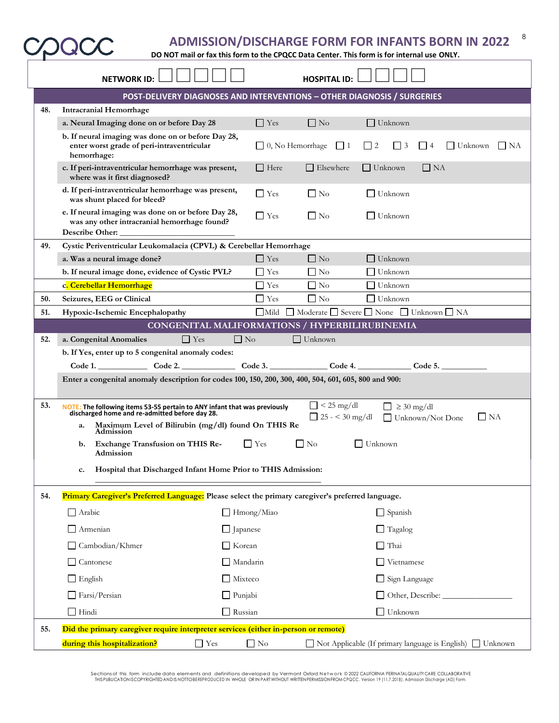**DO NOT mail or fax this form to the CPQCC Data Center. This form is for internal use ONLY.**

|                                                                                                                                                                                               | <b>NETWORK ID:</b>                                                                                                                  |                 |                         | <b>HOSPITAL ID:</b> |                      |                                                                   |           |  |  |
|-----------------------------------------------------------------------------------------------------------------------------------------------------------------------------------------------|-------------------------------------------------------------------------------------------------------------------------------------|-----------------|-------------------------|---------------------|----------------------|-------------------------------------------------------------------|-----------|--|--|
|                                                                                                                                                                                               | POST-DELIVERY DIAGNOSES AND INTERVENTIONS - OTHER DIAGNOSIS / SURGERIES                                                             |                 |                         |                     |                      |                                                                   |           |  |  |
| 48.                                                                                                                                                                                           | <b>Intracranial Hemorrhage</b>                                                                                                      |                 |                         |                     |                      |                                                                   |           |  |  |
|                                                                                                                                                                                               | a. Neural Imaging done on or before Day 28                                                                                          |                 | $\Box$ Yes              | $\Box$ No           | $\Box$ Unknown       |                                                                   |           |  |  |
|                                                                                                                                                                                               | b. If neural imaging was done on or before Day 28,<br>enter worst grade of peri-intraventricular<br>hemorrhage:                     |                 | $\Box$ 0, No Hemorrhage | $\Box$ 1            | $\Box$ 2<br>$\Box$ 3 | $\begin{array}{ c c c c c } \hline \end{array}$<br>$\Box$ Unknown | $\Box$ NA |  |  |
|                                                                                                                                                                                               | c. If peri-intraventricular hemorrhage was present,<br>where was it first diagnosed?                                                |                 | Here Here               | $\Box$ Elsewhere    | $\Box$ Unknown       | $\Box$ NA                                                         |           |  |  |
|                                                                                                                                                                                               | d. If peri-intraventricular hemorrhage was present,<br>was shunt placed for bleed?                                                  |                 | $\Box$ Yes              | $\Box$ No           | $\Box$ Unknown       |                                                                   |           |  |  |
|                                                                                                                                                                                               | e. If neural imaging was done on or before Day 28,<br>was any other intracranial hemorrhage found?<br>Describe Other:               |                 | $\Box$ Yes              | $\Box$ No           | $\Box$ Unknown       |                                                                   |           |  |  |
| 49.                                                                                                                                                                                           | Cystic Periventricular Leukomalacia (CPVL) & Cerebellar Hemorrhage                                                                  |                 |                         |                     |                      |                                                                   |           |  |  |
|                                                                                                                                                                                               | a. Was a neural image done?                                                                                                         |                 | $\Box$ Yes              | $\Box$ No           | $\Box$ Unknown       |                                                                   |           |  |  |
|                                                                                                                                                                                               | b. If neural image done, evidence of Cystic PVL?                                                                                    |                 | <b>Yes</b>              | $\Box$ No           | $\Box$ Unknown       |                                                                   |           |  |  |
|                                                                                                                                                                                               | c. Cerebellar Hemorrhage                                                                                                            |                 | $\Box$ Yes              | $\Box$ No           | Unknown              |                                                                   |           |  |  |
| 50.                                                                                                                                                                                           | Seizures, EEG or Clinical                                                                                                           |                 | $\Box$ Yes              | $\Box$ No           | ∣ Unknown            |                                                                   |           |  |  |
| 51.                                                                                                                                                                                           | $\Box$ Mild<br>Moderate Severe None Unknown NA<br>Hypoxic-Ischemic Encephalopathy<br>CONGENITAL MALIFORMATIONS / HYPERBILIRUBINEMIA |                 |                         |                     |                      |                                                                   |           |  |  |
| 52.                                                                                                                                                                                           | $\Box$ Yes                                                                                                                          | $\Box$ No       |                         | $\Box$ Unknown      |                      |                                                                   |           |  |  |
|                                                                                                                                                                                               | a. Congenital Anomalies<br>b. If Yes, enter up to 5 congenital anomaly codes:                                                       |                 |                         |                     |                      |                                                                   |           |  |  |
|                                                                                                                                                                                               |                                                                                                                                     |                 |                         |                     |                      |                                                                   |           |  |  |
| $\text{Code 1.}$ $\text{Code 2.}$ $\text{Code 3.}$ $\text{Code 4.}$ $\text{Code 5.}$<br>Enter a congenital anomaly description for codes 100, 150, 200, 300, 400, 504, 601, 605, 800 and 900: |                                                                                                                                     |                 |                         |                     |                      |                                                                   |           |  |  |
| 53.<br>$\Box$ < 25 mg/dl<br>$\Box \geq 30 \text{ mg/dl}$<br>NOTE: The following items 53-55 pertain to ANY infant that was previously<br>discharged home and re-admitted before day 28.       |                                                                                                                                     |                 |                         |                     |                      |                                                                   |           |  |  |
|                                                                                                                                                                                               | $\Box$ 25 - < 30 mg/dl<br>$\Box$ NA<br>Unknown/Not Done<br>Maximum Level of Bilirubin (mg/dl) found On THIS Re<br>a.<br>Admission   |                 |                         |                     |                      |                                                                   |           |  |  |
|                                                                                                                                                                                               | $\Box$ No<br><b>Exchange Transfusion on THIS Re-</b><br>$\Box$ Yes<br>$\Box$ Unknown<br>b.<br>Admission                             |                 |                         |                     |                      |                                                                   |           |  |  |
|                                                                                                                                                                                               | Hospital that Discharged Infant Home Prior to THIS Admission:<br>c.                                                                 |                 |                         |                     |                      |                                                                   |           |  |  |
| 54.                                                                                                                                                                                           | Primary Caregiver's Preferred Language: Please select the primary caregiver's preferred language.                                   |                 |                         |                     |                      |                                                                   |           |  |  |
|                                                                                                                                                                                               | $\Box$ Arabic                                                                                                                       |                 | Hmong/Miao              |                     | $\Box$ Spanish       |                                                                   |           |  |  |
|                                                                                                                                                                                               | $\Box$ Armenian                                                                                                                     | $\Box$ Japanese |                         |                     | $\Box$ Tagalog       |                                                                   |           |  |  |
|                                                                                                                                                                                               | Cambodian/Khmer                                                                                                                     | $\Box$ Korean   |                         |                     | $\Box$ Thai          |                                                                   |           |  |  |
|                                                                                                                                                                                               | Cantonese                                                                                                                           | $\Box$ Mandarin |                         |                     | $\Box$ Vietnamese    |                                                                   |           |  |  |
|                                                                                                                                                                                               | $\Box$ English                                                                                                                      | Mixteco         |                         |                     | Sign Language        |                                                                   |           |  |  |
|                                                                                                                                                                                               | Farsi/Persian                                                                                                                       | $\Box$ Punjabi  |                         |                     |                      |                                                                   |           |  |  |
|                                                                                                                                                                                               | $\Box$ Hindi                                                                                                                        | Russian         |                         |                     | $\Box$ Unknown       |                                                                   |           |  |  |
|                                                                                                                                                                                               | Did the primary caregiver require interpreter services (either in-person or remote)                                                 |                 |                         |                     |                      |                                                                   |           |  |  |
| 55.                                                                                                                                                                                           |                                                                                                                                     |                 |                         |                     |                      |                                                                   |           |  |  |